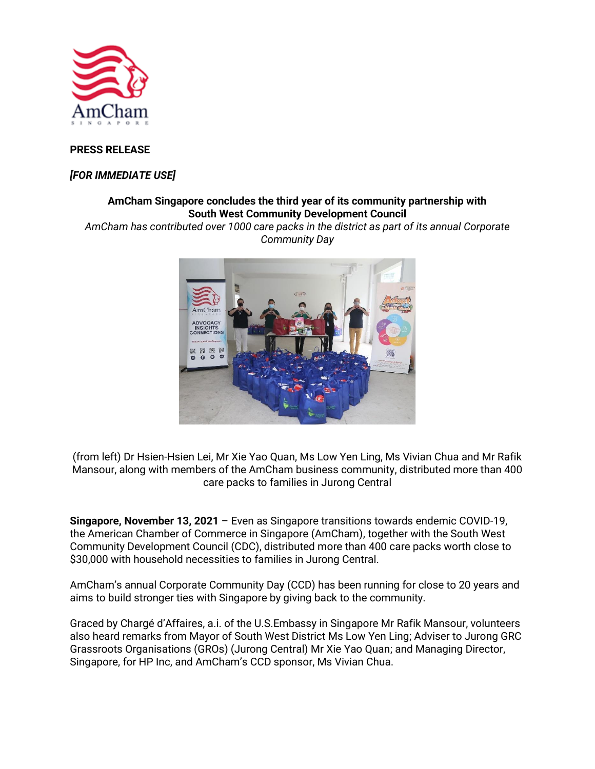

### **PRESS RELEASE**

### *[FOR IMMEDIATE USE]*

# **AmCham Singapore concludes the third year of its community partnership with South West Community Development Council**

*AmCham has contributed over 1000 care packs in the district as part of its annual Corporate Community Day*



(from left) Dr Hsien-Hsien Lei, Mr Xie Yao Quan, Ms Low Yen Ling, Ms Vivian Chua and Mr Rafik Mansour, along with members of the AmCham business community, distributed more than 400 care packs to families in Jurong Central

**Singapore, November 13, 2021** – Even as Singapore transitions towards endemic COVID-19, the American Chamber of Commerce in Singapore (AmCham), together with the South West Community Development Council (CDC), distributed more than 400 care packs worth close to \$30,000 with household necessities to families in Jurong Central.

AmCham's annual Corporate Community Day (CCD) has been running for close to 20 years and aims to build stronger ties with Singapore by giving back to the community.

Graced by Chargé d'Affaires, a.i. of the U.S.Embassy in Singapore Mr Rafik Mansour, volunteers also heard remarks from Mayor of South West District Ms Low Yen Ling; Adviser to Jurong GRC Grassroots Organisations (GROs) (Jurong Central) Mr Xie Yao Quan; and Managing Director, Singapore, for HP Inc, and AmCham's CCD sponsor, Ms Vivian Chua.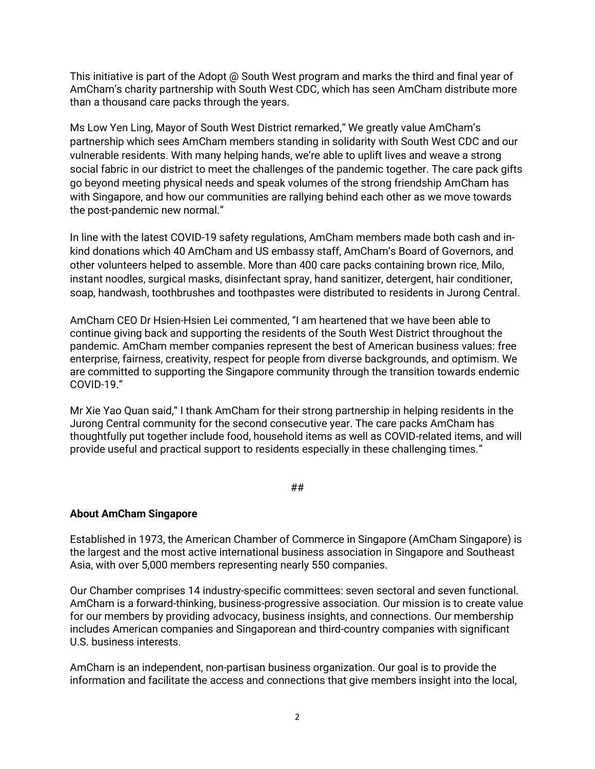This initiative is part of the Adopt @ South West program and marks the third and final year of AmCham's charity partnership with South West CDC, which has seen AmCham distribute more than a thousand care packs through the years.

Ms Low Yen Ling, Mayor of South West District remarked," We greatly value AmCham's partnership which sees AmCham members standing in solidarity with South West CDC and our vulnerable residents. With many helping hands, we're able to uplift lives and weave a strong social fabric in our district to meet the challenges of the pandemic together. The care pack gifts go beyond meeting physical needs and speak volumes of the strong friendship AmCham has with Singapore, and how our communities are rallying behind each other as we move towards the post-pandemic new normal."

In line with the latest COVID-19 safety regulations, AmCham members made both cash and inkind donations which 40 AmCham and US embassy staff, AmCham's Board of Governors, and other volunteers helped to assemble. More than 400 care packs containing brown rice, Milo, instant noodles, surgical masks, disinfectant spray, hand sanitizer, detergent, hair conditioner, soap, handwash, toothbrushes and toothpastes were distributed to residents in Jurong Central.

AmCham CEO Dr Hsien-Hsien Lei commented, "I am heartened that we have been able to continue giving back and supporting the residents of the South West District throughout the pandemic. AmCham member companies represent the best of American business values: free enterprise, fairness, creativity, respect for people from diverse backgrounds, and optimism. We are committed to supporting the Singapore community through the transition towards endemic COVID-19."

Mr Xie Yao Quan said," I thank AmCham for their strong partnership in helping residents in the Jurong Central community for the second consecutive year. The care packs AmCham has thoughtfully put together include food, household items as well as COVID-related items, and will provide useful and practical support to residents especially in these challenging times."

#### ##

#### **About AmCham Singapore**

Established in 1973, the American Chamber of Commerce in Singapore (AmCham Singapore) is the largest and the most active international business association in Singapore and Southeast Asia, with over 5,000 members representing nearly 550 companies.

Our Chamber comprises 14 industry-specific committees: seven sectoral and seven functional. AmCham is a forward-thinking, business-progressive association. Our mission is to create value for our members by providing advocacy, business insights, and connections. Our membership includes American companies and Singaporean and third-country companies with significant U.S. business interests.

AmCham is an independent, non-partisan business organization. Our goal is to provide the information and facilitate the access and connections that give members insight into the local,